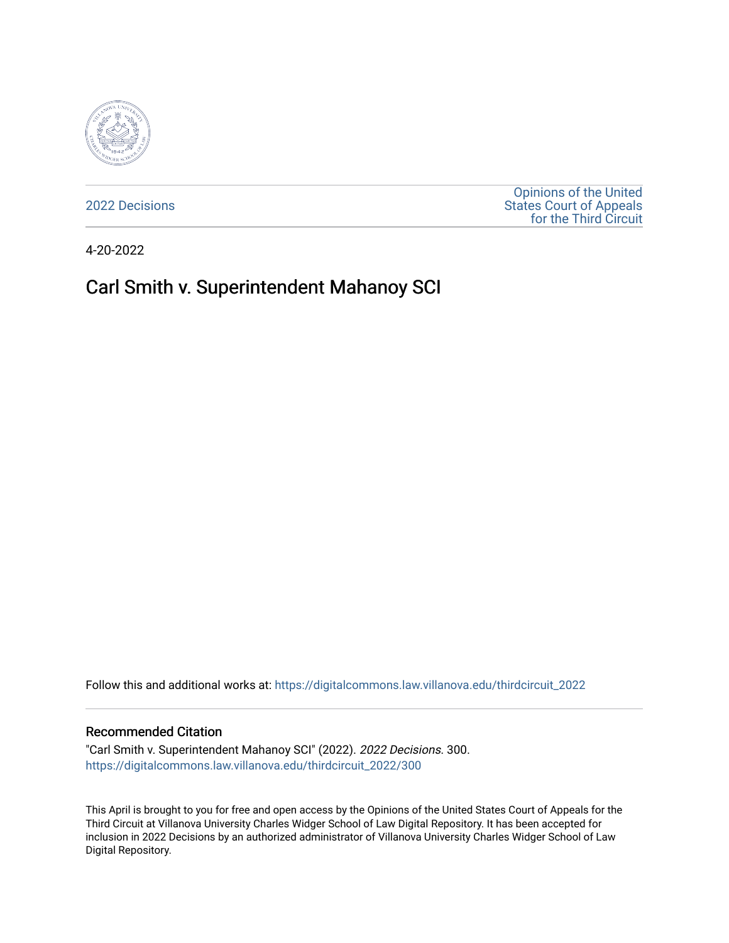

[2022 Decisions](https://digitalcommons.law.villanova.edu/thirdcircuit_2022)

[Opinions of the United](https://digitalcommons.law.villanova.edu/thirdcircuit)  [States Court of Appeals](https://digitalcommons.law.villanova.edu/thirdcircuit)  [for the Third Circuit](https://digitalcommons.law.villanova.edu/thirdcircuit) 

4-20-2022

# Carl Smith v. Superintendent Mahanoy SCI

Follow this and additional works at: [https://digitalcommons.law.villanova.edu/thirdcircuit\\_2022](https://digitalcommons.law.villanova.edu/thirdcircuit_2022?utm_source=digitalcommons.law.villanova.edu%2Fthirdcircuit_2022%2F300&utm_medium=PDF&utm_campaign=PDFCoverPages) 

#### Recommended Citation

"Carl Smith v. Superintendent Mahanoy SCI" (2022). 2022 Decisions. 300. [https://digitalcommons.law.villanova.edu/thirdcircuit\\_2022/300](https://digitalcommons.law.villanova.edu/thirdcircuit_2022/300?utm_source=digitalcommons.law.villanova.edu%2Fthirdcircuit_2022%2F300&utm_medium=PDF&utm_campaign=PDFCoverPages)

This April is brought to you for free and open access by the Opinions of the United States Court of Appeals for the Third Circuit at Villanova University Charles Widger School of Law Digital Repository. It has been accepted for inclusion in 2022 Decisions by an authorized administrator of Villanova University Charles Widger School of Law Digital Repository.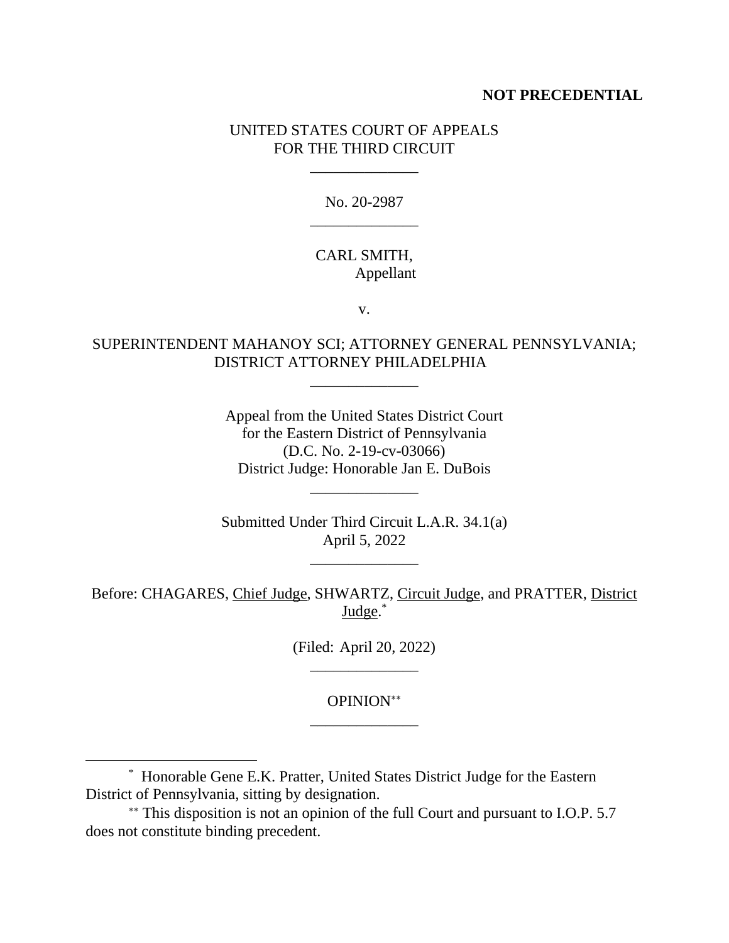## **NOT PRECEDENTIAL**

# UNITED STATES COURT OF APPEALS FOR THE THIRD CIRCUIT

\_\_\_\_\_\_\_\_\_\_\_\_\_\_

No. 20-2987 \_\_\_\_\_\_\_\_\_\_\_\_\_\_

## CARL SMITH, Appellant

v.

# SUPERINTENDENT MAHANOY SCI; ATTORNEY GENERAL PENNSYLVANIA; DISTRICT ATTORNEY PHILADELPHIA

\_\_\_\_\_\_\_\_\_\_\_\_\_\_

Appeal from the United States District Court for the Eastern District of Pennsylvania (D.C. No. 2-19-cv-03066) District Judge: Honorable Jan E. DuBois

\_\_\_\_\_\_\_\_\_\_\_\_\_\_

Submitted Under Third Circuit L.A.R. 34.1(a) April 5, 2022

\_\_\_\_\_\_\_\_\_\_\_\_\_\_

Before: CHAGARES, Chief Judge, SHWARTZ, Circuit Judge, and PRATTER, District Judge.<sup>\*</sup>

> (Filed: April 20, 2022) \_\_\_\_\_\_\_\_\_\_\_\_\_\_

> > OPINION \_\_\_\_\_\_\_\_\_\_\_\_\_\_

<sup>\*</sup> Honorable Gene E.K. Pratter, United States District Judge for the Eastern District of Pennsylvania, sitting by designation.

This disposition is not an opinion of the full Court and pursuant to I.O.P. 5.7 does not constitute binding precedent.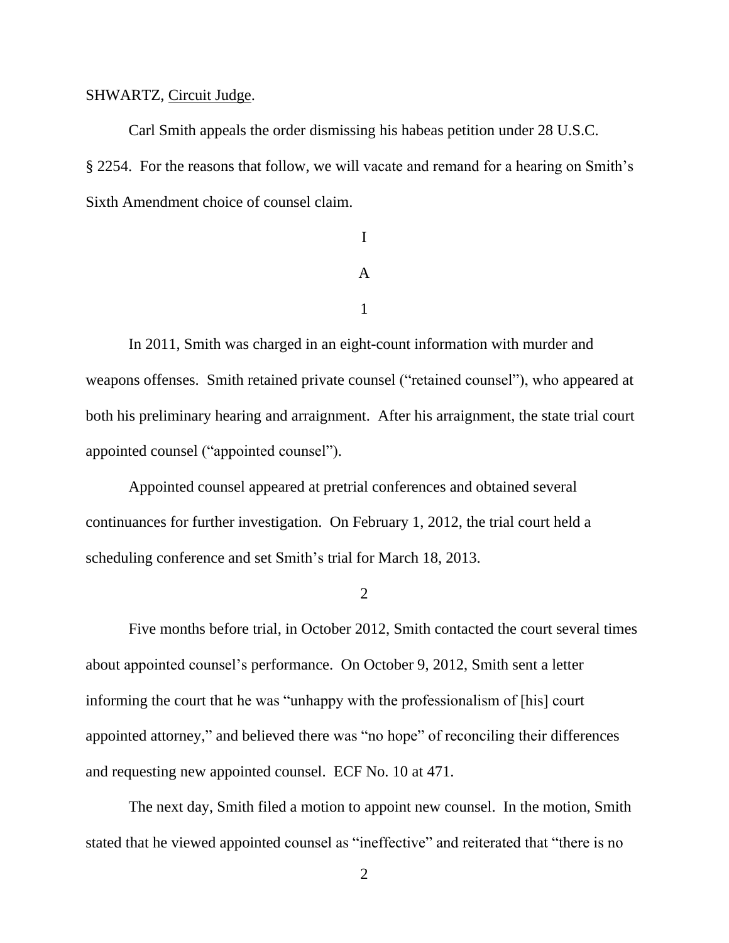#### SHWARTZ, Circuit Judge.

Carl Smith appeals the order dismissing his habeas petition under 28 U.S.C. § 2254. For the reasons that follow, we will vacate and remand for a hearing on Smith's Sixth Amendment choice of counsel claim.

> I A 1

In 2011, Smith was charged in an eight-count information with murder and weapons offenses. Smith retained private counsel ("retained counsel"), who appeared at both his preliminary hearing and arraignment. After his arraignment, the state trial court appointed counsel ("appointed counsel").

Appointed counsel appeared at pretrial conferences and obtained several continuances for further investigation. On February 1, 2012, the trial court held a scheduling conference and set Smith's trial for March 18, 2013.

 $\mathcal{L}$ 

Five months before trial, in October 2012, Smith contacted the court several times about appointed counsel's performance. On October 9, 2012, Smith sent a letter informing the court that he was "unhappy with the professionalism of [his] court appointed attorney," and believed there was "no hope" of reconciling their differences and requesting new appointed counsel. ECF No. 10 at 471.

The next day, Smith filed a motion to appoint new counsel. In the motion, Smith stated that he viewed appointed counsel as "ineffective" and reiterated that "there is no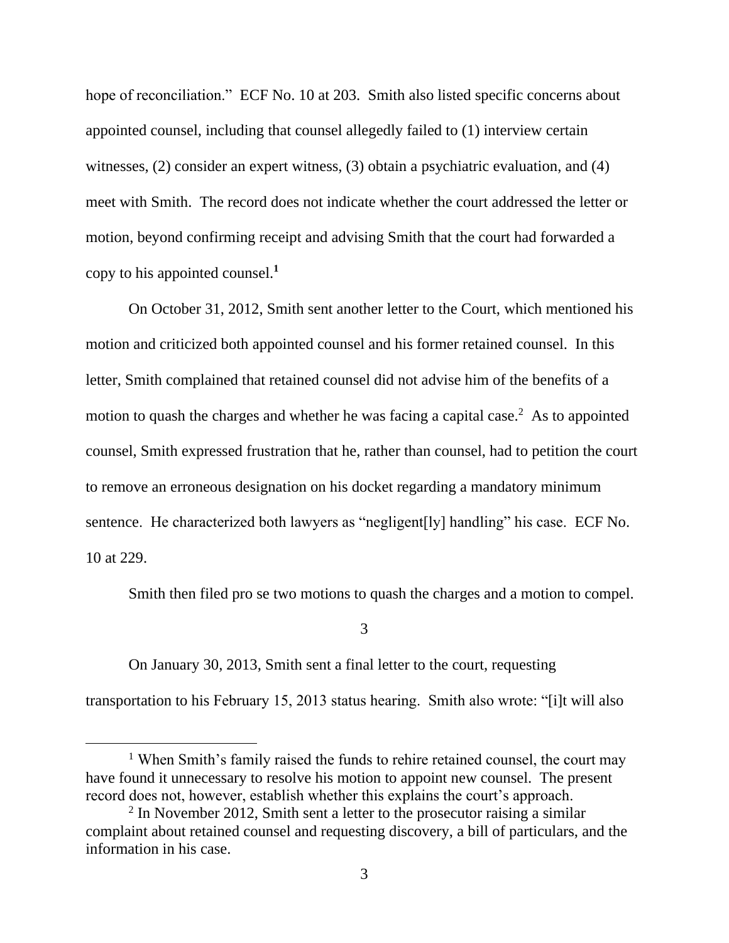hope of reconciliation." ECF No. 10 at 203. Smith also listed specific concerns about appointed counsel, including that counsel allegedly failed to (1) interview certain witnesses, (2) consider an expert witness, (3) obtain a psychiatric evaluation, and (4) meet with Smith. The record does not indicate whether the court addressed the letter or motion, beyond confirming receipt and advising Smith that the court had forwarded a copy to his appointed counsel. **1**

On October 31, 2012, Smith sent another letter to the Court, which mentioned his motion and criticized both appointed counsel and his former retained counsel. In this letter, Smith complained that retained counsel did not advise him of the benefits of a motion to quash the charges and whether he was facing a capital case.<sup>2</sup> As to appointed counsel, Smith expressed frustration that he, rather than counsel, had to petition the court to remove an erroneous designation on his docket regarding a mandatory minimum sentence. He characterized both lawyers as "negligent[ly] handling" his case. ECF No. 10 at 229.

Smith then filed pro se two motions to quash the charges and a motion to compel.

3

On January 30, 2013, Smith sent a final letter to the court, requesting transportation to his February 15, 2013 status hearing. Smith also wrote: "[i]t will also

<sup>&</sup>lt;sup>1</sup> When Smith's family raised the funds to rehire retained counsel, the court may have found it unnecessary to resolve his motion to appoint new counsel. The present record does not, however, establish whether this explains the court's approach.

<sup>&</sup>lt;sup>2</sup> In November 2012, Smith sent a letter to the prosecutor raising a similar complaint about retained counsel and requesting discovery, a bill of particulars, and the information in his case.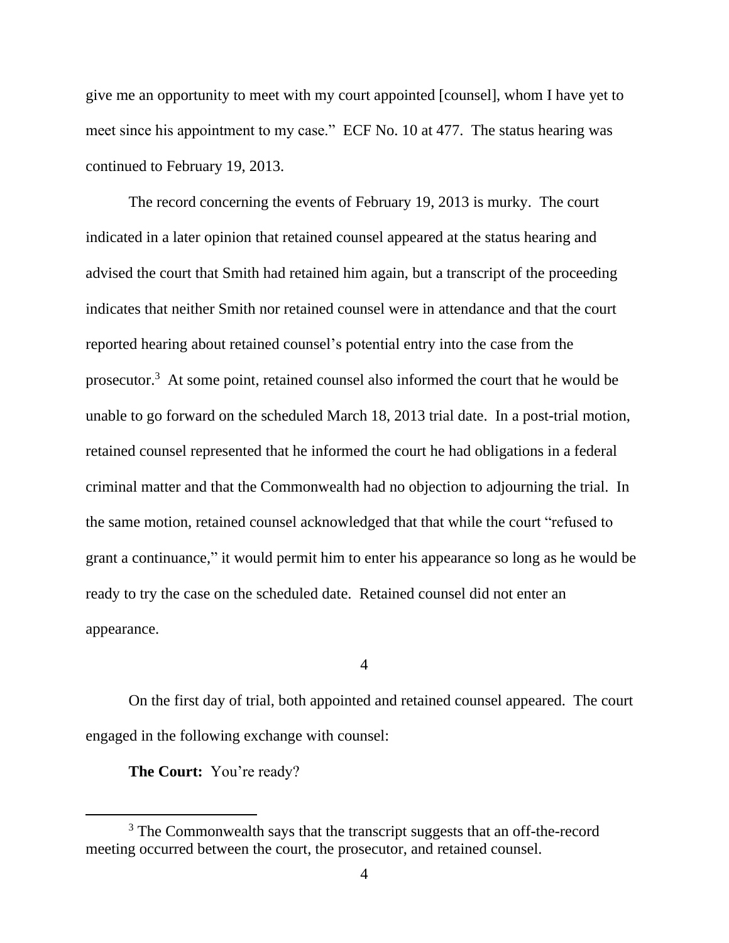give me an opportunity to meet with my court appointed [counsel], whom I have yet to meet since his appointment to my case." ECF No. 10 at 477. The status hearing was continued to February 19, 2013.

The record concerning the events of February 19, 2013 is murky. The court indicated in a later opinion that retained counsel appeared at the status hearing and advised the court that Smith had retained him again, but a transcript of the proceeding indicates that neither Smith nor retained counsel were in attendance and that the court reported hearing about retained counsel's potential entry into the case from the prosecutor.<sup>3</sup> At some point, retained counsel also informed the court that he would be unable to go forward on the scheduled March 18, 2013 trial date. In a post-trial motion, retained counsel represented that he informed the court he had obligations in a federal criminal matter and that the Commonwealth had no objection to adjourning the trial. In the same motion, retained counsel acknowledged that that while the court "refused to grant a continuance," it would permit him to enter his appearance so long as he would be ready to try the case on the scheduled date. Retained counsel did not enter an appearance.

4

On the first day of trial, both appointed and retained counsel appeared. The court engaged in the following exchange with counsel:

**The Court:** You're ready?

<sup>&</sup>lt;sup>3</sup> The Commonwealth says that the transcript suggests that an off-the-record meeting occurred between the court, the prosecutor, and retained counsel.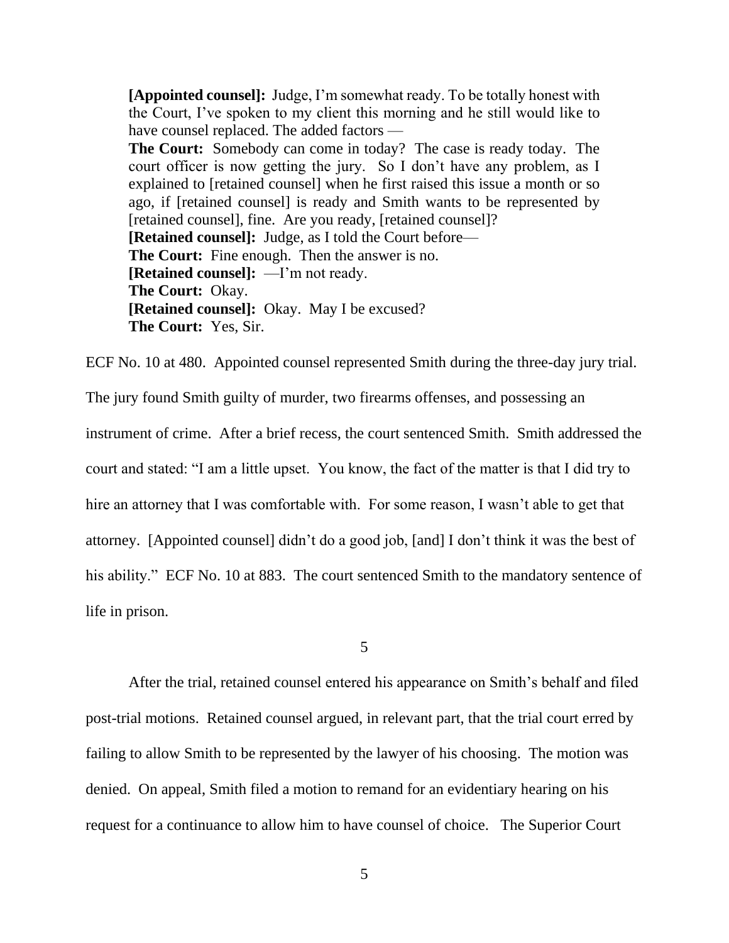**[Appointed counsel]:** Judge, I'm somewhat ready. To be totally honest with the Court, I've spoken to my client this morning and he still would like to have counsel replaced. The added factors —

**The Court:** Somebody can come in today? The case is ready today. The court officer is now getting the jury. So I don't have any problem, as I explained to [retained counsel] when he first raised this issue a month or so ago, if [retained counsel] is ready and Smith wants to be represented by [retained counsel], fine. Are you ready, [retained counsel]? **[Retained counsel]:** Judge, as I told the Court before— **The Court:** Fine enough. Then the answer is no. **[Retained counsel]:** —I'm not ready. **The Court:** Okay. **[Retained counsel]:** Okay. May I be excused? **The Court:** Yes, Sir.

ECF No. 10 at 480. Appointed counsel represented Smith during the three-day jury trial. The jury found Smith guilty of murder, two firearms offenses, and possessing an instrument of crime. After a brief recess, the court sentenced Smith. Smith addressed the court and stated: "I am a little upset. You know, the fact of the matter is that I did try to hire an attorney that I was comfortable with. For some reason, I wasn't able to get that attorney. [Appointed counsel] didn't do a good job, [and] I don't think it was the best of his ability." ECF No. 10 at 883. The court sentenced Smith to the mandatory sentence of life in prison.

5

After the trial, retained counsel entered his appearance on Smith's behalf and filed post-trial motions. Retained counsel argued, in relevant part, that the trial court erred by failing to allow Smith to be represented by the lawyer of his choosing. The motion was denied. On appeal, Smith filed a motion to remand for an evidentiary hearing on his request for a continuance to allow him to have counsel of choice. The Superior Court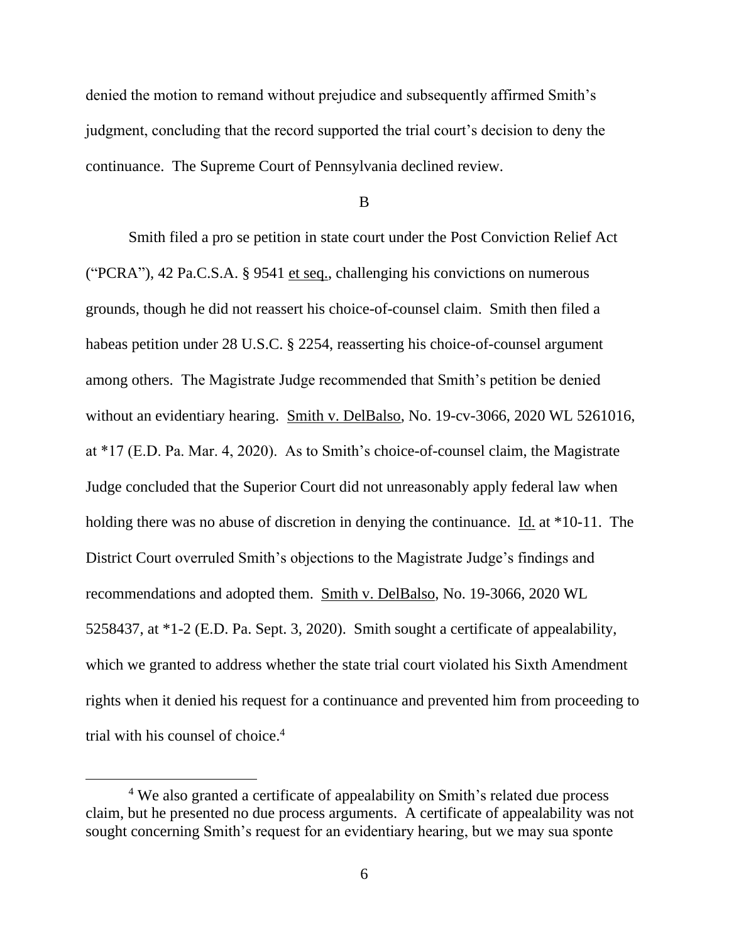denied the motion to remand without prejudice and subsequently affirmed Smith's judgment, concluding that the record supported the trial court's decision to deny the continuance. The Supreme Court of Pennsylvania declined review.

B

Smith filed a pro se petition in state court under the Post Conviction Relief Act ("PCRA"), 42 Pa.C.S.A. § 9541 et seq., challenging his convictions on numerous grounds, though he did not reassert his choice-of-counsel claim. Smith then filed a habeas petition under 28 U.S.C. § 2254, reasserting his choice-of-counsel argument among others. The Magistrate Judge recommended that Smith's petition be denied without an evidentiary hearing. Smith v. DelBalso, No. 19-cv-3066, 2020 WL 5261016, at \*17 (E.D. Pa. Mar. 4, 2020). As to Smith's choice-of-counsel claim, the Magistrate Judge concluded that the Superior Court did not unreasonably apply federal law when holding there was no abuse of discretion in denying the continuance. Id. at  $*10-11$ . The District Court overruled Smith's objections to the Magistrate Judge's findings and recommendations and adopted them. Smith v. DelBalso, No. 19-3066, 2020 WL 5258437, at \*1-2 (E.D. Pa. Sept. 3, 2020). Smith sought a certificate of appealability, which we granted to address whether the state trial court violated his Sixth Amendment rights when it denied his request for a continuance and prevented him from proceeding to trial with his counsel of choice. 4

<sup>&</sup>lt;sup>4</sup> We also granted a certificate of appealability on Smith's related due process claim, but he presented no due process arguments. A certificate of appealability was not sought concerning Smith's request for an evidentiary hearing, but we may sua sponte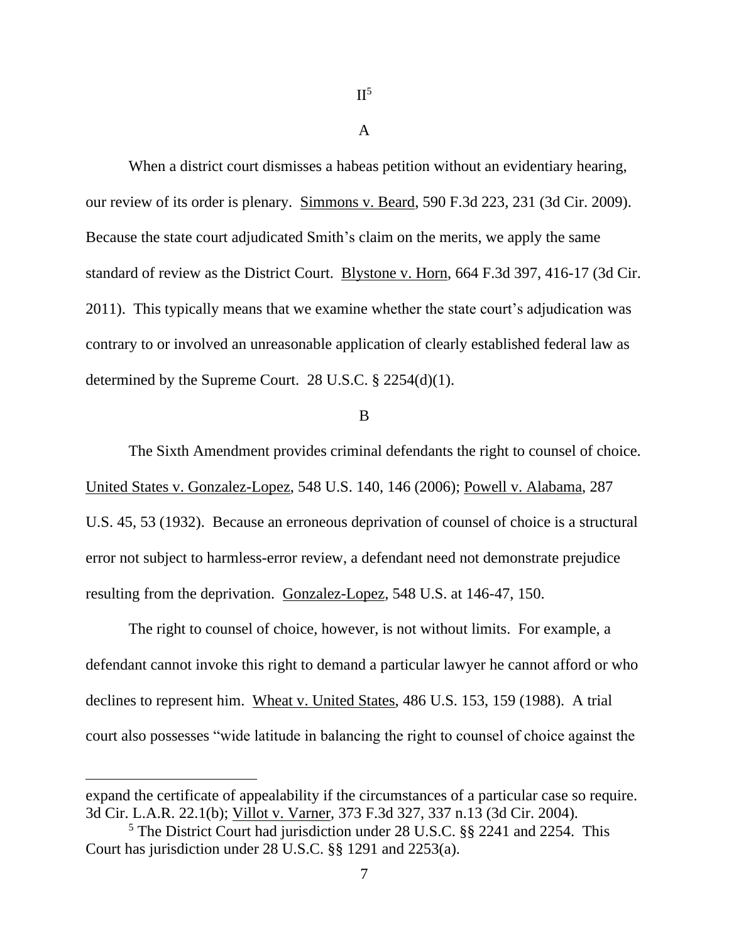$\Pi^5$ 

A

When a district court dismisses a habeas petition without an evidentiary hearing, our review of its order is plenary. Simmons v. Beard, 590 F.3d 223, 231 (3d Cir. 2009). Because the state court adjudicated Smith's claim on the merits, we apply the same standard of review as the District Court. Blystone v. Horn, 664 F.3d 397, 416-17 (3d Cir. 2011). This typically means that we examine whether the state court's adjudication was contrary to or involved an unreasonable application of clearly established federal law as determined by the Supreme Court. 28 U.S.C. § 2254(d)(1).

### B

The Sixth Amendment provides criminal defendants the right to counsel of choice. United States v. Gonzalez-Lopez, 548 U.S. 140, 146 (2006); Powell v. Alabama, 287 U.S. 45, 53 (1932). Because an erroneous deprivation of counsel of choice is a structural error not subject to harmless-error review, a defendant need not demonstrate prejudice resulting from the deprivation. Gonzalez-Lopez, 548 U.S. at 146-47, 150.

The right to counsel of choice, however, is not without limits. For example, a defendant cannot invoke this right to demand a particular lawyer he cannot afford or who declines to represent him. Wheat v. United States, 486 U.S. 153, 159 (1988). A trial court also possesses "wide latitude in balancing the right to counsel of choice against the

expand the certificate of appealability if the circumstances of a particular case so require. 3d Cir. L.A.R. 22.1(b); Villot v. Varner, 373 F.3d 327, 337 n.13 (3d Cir. 2004).

<sup>5</sup> The District Court had jurisdiction under 28 U.S.C. §§ 2241 and 2254. This Court has jurisdiction under 28 U.S.C. §§ 1291 and 2253(a).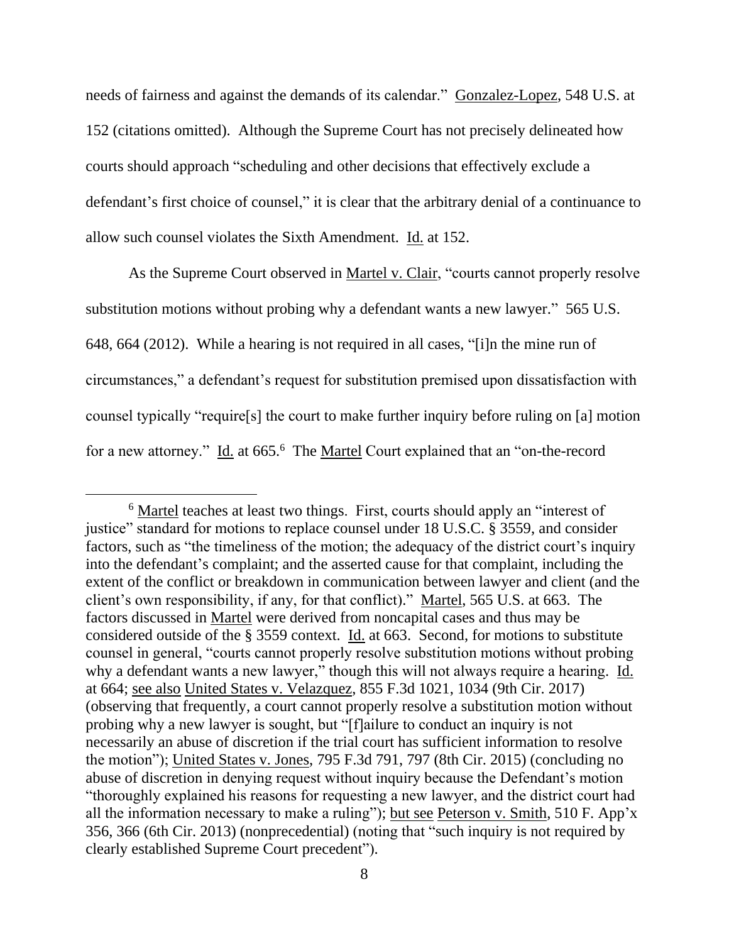needs of fairness and against the demands of its calendar." Gonzalez-Lopez, 548 U.S. at 152 (citations omitted). Although the Supreme Court has not precisely delineated how courts should approach "scheduling and other decisions that effectively exclude a defendant's first choice of counsel," it is clear that the arbitrary denial of a continuance to allow such counsel violates the Sixth Amendment. Id. at 152.

As the Supreme Court observed in Martel v. Clair, "courts cannot properly resolve substitution motions without probing why a defendant wants a new lawyer." 565 U.S. 648, 664 (2012). While a hearing is not required in all cases, "[i]n the mine run of circumstances," a defendant's request for substitution premised upon dissatisfaction with counsel typically "require[s] the court to make further inquiry before ruling on [a] motion for a new attorney." Id. at 665.<sup>6</sup> The Martel Court explained that an "on-the-record

<sup>&</sup>lt;sup>6</sup> Martel teaches at least two things. First, courts should apply an "interest of justice" standard for motions to replace counsel under 18 U.S.C. § 3559, and consider factors, such as "the timeliness of the motion; the adequacy of the district court's inquiry into the defendant's complaint; and the asserted cause for that complaint, including the extent of the conflict or breakdown in communication between lawyer and client (and the client's own responsibility, if any, for that conflict)." Martel, 565 U.S. at 663. The factors discussed in Martel were derived from noncapital cases and thus may be considered outside of the § 3559 context. Id. at 663. Second, for motions to substitute counsel in general, "courts cannot properly resolve substitution motions without probing why a defendant wants a new lawyer," though this will not always require a hearing. Id. at 664; see also United States v. Velazquez, 855 F.3d 1021, 1034 (9th Cir. 2017) (observing that frequently, a court cannot properly resolve a substitution motion without probing why a new lawyer is sought, but "[f]ailure to conduct an inquiry is not necessarily an abuse of discretion if the trial court has sufficient information to resolve the motion"); United States v. Jones, 795 F.3d 791, 797 (8th Cir. 2015) (concluding no abuse of discretion in denying request without inquiry because the Defendant's motion "thoroughly explained his reasons for requesting a new lawyer, and the district court had all the information necessary to make a ruling"); but see Peterson v. Smith, 510 F. App'x 356, 366 (6th Cir. 2013) (nonprecedential) (noting that "such inquiry is not required by clearly established Supreme Court precedent").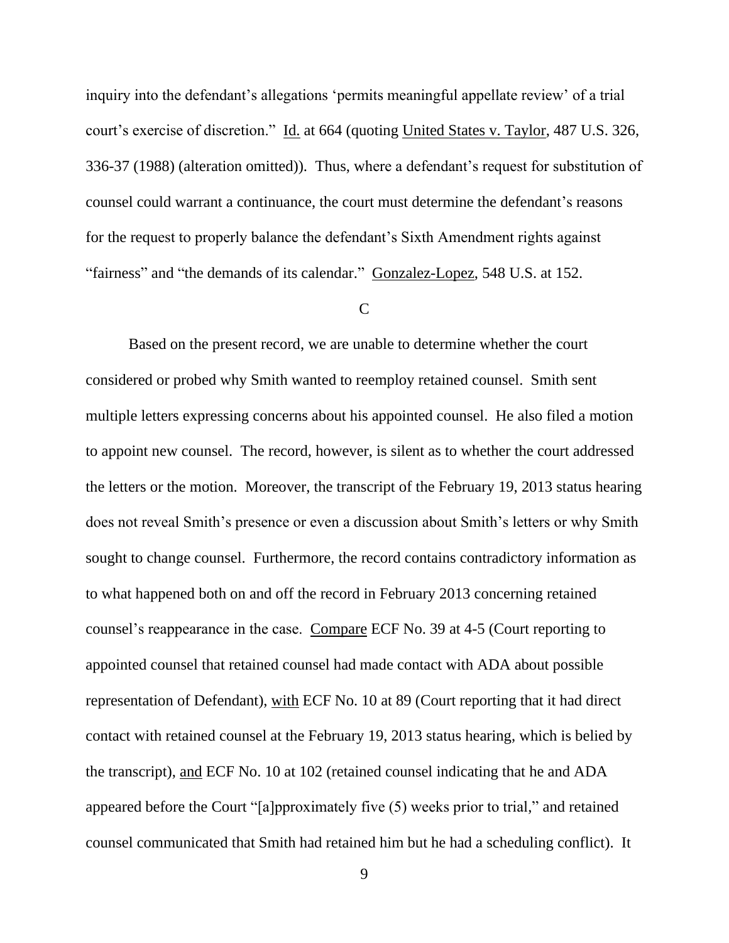inquiry into the defendant's allegations 'permits meaningful appellate review' of a trial court's exercise of discretion." Id. at 664 (quoting United States v. Taylor, 487 U.S. 326, 336-37 (1988) (alteration omitted)). Thus, where a defendant's request for substitution of counsel could warrant a continuance, the court must determine the defendant's reasons for the request to properly balance the defendant's Sixth Amendment rights against "fairness" and "the demands of its calendar." Gonzalez-Lopez, 548 U.S. at 152.

# $\overline{C}$

Based on the present record, we are unable to determine whether the court considered or probed why Smith wanted to reemploy retained counsel. Smith sent multiple letters expressing concerns about his appointed counsel. He also filed a motion to appoint new counsel. The record, however, is silent as to whether the court addressed the letters or the motion. Moreover, the transcript of the February 19, 2013 status hearing does not reveal Smith's presence or even a discussion about Smith's letters or why Smith sought to change counsel. Furthermore, the record contains contradictory information as to what happened both on and off the record in February 2013 concerning retained counsel's reappearance in the case. Compare ECF No. 39 at 4-5 (Court reporting to appointed counsel that retained counsel had made contact with ADA about possible representation of Defendant), with ECF No. 10 at 89 (Court reporting that it had direct contact with retained counsel at the February 19, 2013 status hearing, which is belied by the transcript), and ECF No. 10 at 102 (retained counsel indicating that he and ADA appeared before the Court "[a]pproximately five (5) weeks prior to trial," and retained counsel communicated that Smith had retained him but he had a scheduling conflict). It

9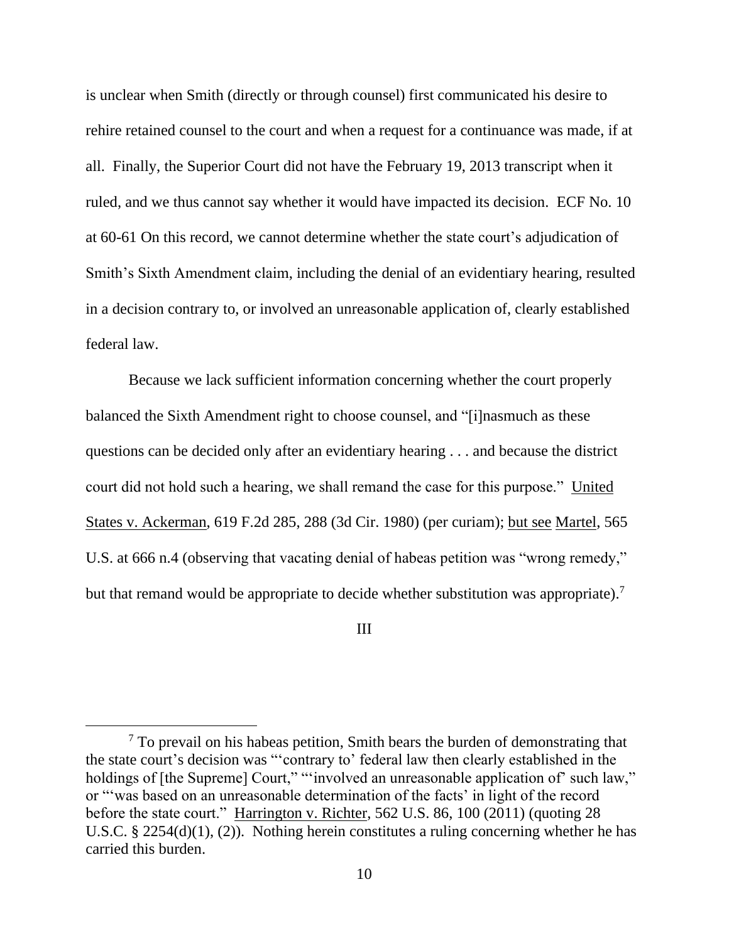is unclear when Smith (directly or through counsel) first communicated his desire to rehire retained counsel to the court and when a request for a continuance was made, if at all. Finally, the Superior Court did not have the February 19, 2013 transcript when it ruled, and we thus cannot say whether it would have impacted its decision. ECF No. 10 at 60-61 On this record, we cannot determine whether the state court's adjudication of Smith's Sixth Amendment claim, including the denial of an evidentiary hearing, resulted in a decision contrary to, or involved an unreasonable application of, clearly established federal law.

Because we lack sufficient information concerning whether the court properly balanced the Sixth Amendment right to choose counsel, and "[i]nasmuch as these questions can be decided only after an evidentiary hearing . . . and because the district court did not hold such a hearing, we shall remand the case for this purpose." United States v. Ackerman, 619 F.2d 285, 288 (3d Cir. 1980) (per curiam); but see Martel, 565 U.S. at 666 n.4 (observing that vacating denial of habeas petition was "wrong remedy," but that remand would be appropriate to decide whether substitution was appropriate).<sup>7</sup>

III

 $<sup>7</sup>$  To prevail on his habeas petition, Smith bears the burden of demonstrating that</sup> the state court's decision was "'contrary to' federal law then clearly established in the holdings of [the Supreme] Court," "'involved an unreasonable application of' such law," or "'was based on an unreasonable determination of the facts' in light of the record before the state court." Harrington v. Richter, 562 U.S. 86, 100 (2011) (quoting 28 U.S.C. § 2254(d)(1), (2)). Nothing herein constitutes a ruling concerning whether he has carried this burden.